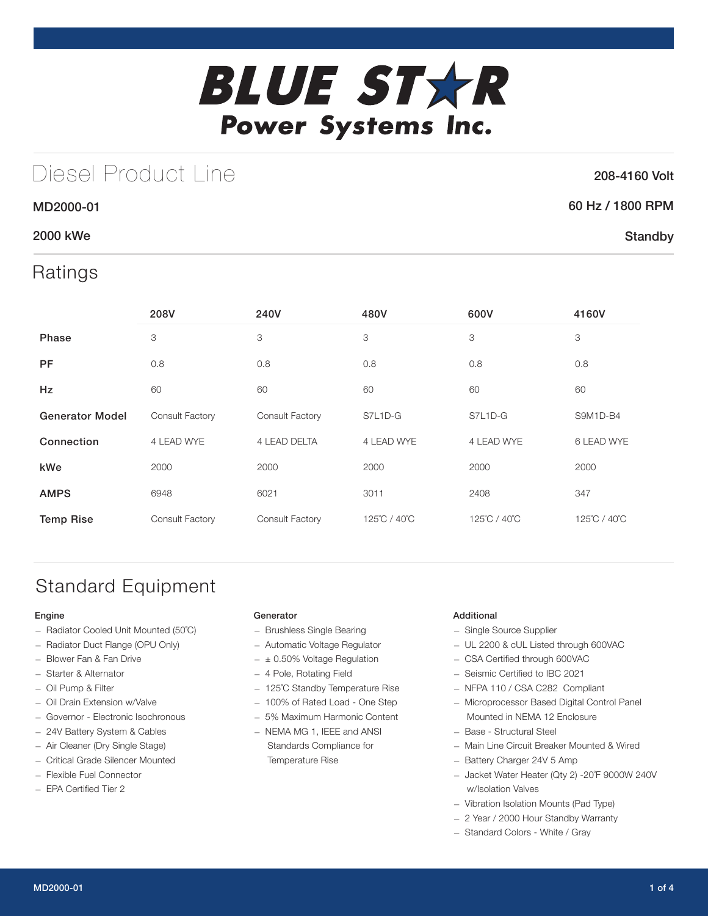

# Diesel Product Line

### 208-4160 Volt

**Standby** 

### 60 Hz / 1800 RPM

### 2000 kWe

MD2000-01

## Ratings

|                        | 208V            | 240V                | 480V         | 600V         | 4160V        |
|------------------------|-----------------|---------------------|--------------|--------------|--------------|
| <b>Phase</b>           | 3               | 3                   | 3            | 3            | 3            |
| <b>PF</b>              | 0.8             | 0.8                 | 0.8          | 0.8          | 0.8          |
| <b>Hz</b>              | 60              | 60                  | 60           | 60           | 60           |
| <b>Generator Model</b> | Consult Factory | Consult Factory     | S7L1D-G      | S7L1D-G      | S9M1D-B4     |
| Connection             | 4 LEAD WYE      | <b>4 LEAD DELTA</b> | 4 LEAD WYE   | 4 LEAD WYE   | 6 LEAD WYE   |
| kWe                    | 2000            | 2000                | 2000         | 2000         | 2000         |
| <b>AMPS</b>            | 6948            | 6021                | 3011         | 2408         | 347          |
| <b>Temp Rise</b>       | Consult Factory | Consult Factory     | 125°C / 40°C | 125°C / 40°C | 125°C / 40°C |

# Standard Equipment

#### Engine

- Radiator Cooled Unit Mounted (50˚C)
- Radiator Duct Flange (OPU Only)
- Blower Fan & Fan Drive
- Starter & Alternator
- Oil Pump & Filter
- Oil Drain Extension w/Valve
- Governor Electronic Isochronous
- 24V Battery System & Cables
- Air Cleaner (Dry Single Stage)
- Critical Grade Silencer Mounted
- Flexible Fuel Connector
- EPA Certified Tier 2

#### Generator

- Brushless Single Bearing
- Automatic Voltage Regulator
- $\pm$  0.50% Voltage Regulation
- 4 Pole, Rotating Field
- 125˚C Standby Temperature Rise
- 100% of Rated Load One Step
- 5% Maximum Harmonic Content
- NEMA MG 1, IEEE and ANSI Standards Compliance for Temperature Rise

#### Additional

- Single Source Supplier
- UL 2200 & cUL Listed through 600VAC
- CSA Certified through 600VAC
- Seismic Certified to IBC 2021
- NFPA 110 / CSA C282 Compliant
- Microprocessor Based Digital Control Panel Mounted in NEMA 12 Enclosure
- Base Structural Steel
- Main Line Circuit Breaker Mounted & Wired
- Battery Charger 24V 5 Amp
- Jacket Water Heater (Qty 2) -20˚F 9000W 240V w/Isolation Valves
- Vibration Isolation Mounts (Pad Type)
- 2 Year / 2000 Hour Standby Warranty
- Standard Colors White / Gray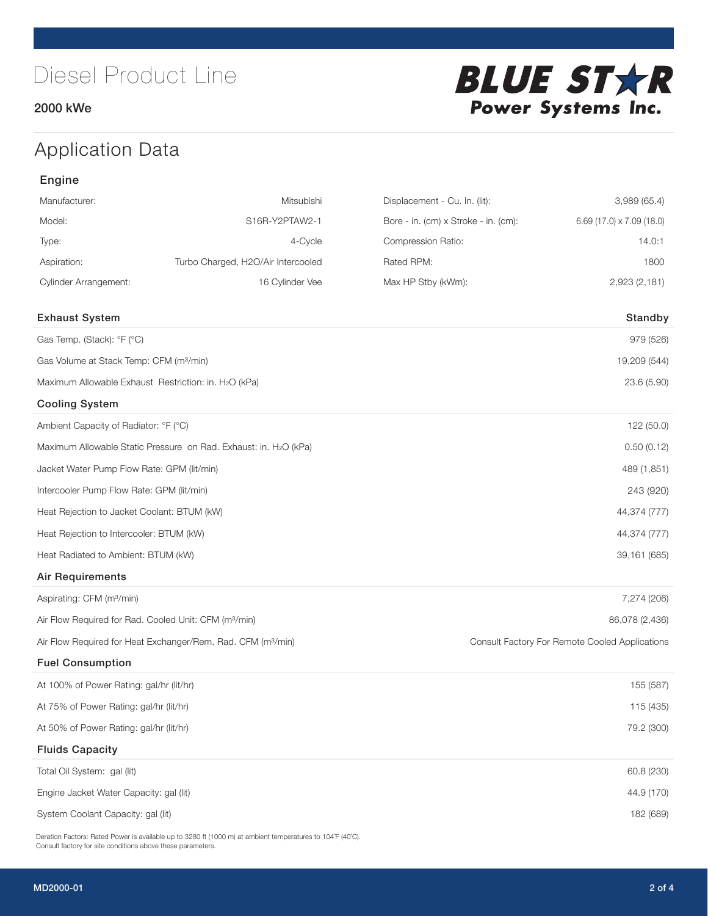### 2000 kWe



# Application Data

| Manufacturer:                                                     | Mitsubishi                                                               | Displacement - Cu. In. (lit):        | 3,989 (65.4)                                   |
|-------------------------------------------------------------------|--------------------------------------------------------------------------|--------------------------------------|------------------------------------------------|
| Model:                                                            | S16R-Y2PTAW2-1                                                           | Bore - in. (cm) x Stroke - in. (cm): | $6.69$ (17.0) x 7.09 (18.0)                    |
| Type:                                                             | 4-Cycle                                                                  | Compression Ratio:                   | 14.0:1                                         |
| Aspiration:                                                       | Turbo Charged, H2O/Air Intercooled                                       | Rated RPM:                           | 1800                                           |
| <b>Cylinder Arrangement:</b>                                      | 16 Cylinder Vee                                                          | Max HP Stby (kWm):                   | 2,923 (2,181)                                  |
|                                                                   |                                                                          |                                      |                                                |
| <b>Exhaust System</b>                                             |                                                                          |                                      | Standby                                        |
| Gas Temp. (Stack): °F (°C)                                        |                                                                          |                                      | 979 (526)                                      |
| Gas Volume at Stack Temp: CFM (m <sup>3</sup> /min)               |                                                                          |                                      | 19,209 (544)                                   |
| Maximum Allowable Exhaust Restriction: in. H2O (kPa)              |                                                                          |                                      | 23.6 (5.90)                                    |
| <b>Cooling System</b>                                             |                                                                          |                                      |                                                |
| Ambient Capacity of Radiator: °F (°C)                             |                                                                          |                                      | 122 (50.0)                                     |
|                                                                   | Maximum Allowable Static Pressure on Rad. Exhaust: in. H2O (kPa)         |                                      | 0.50(0.12)                                     |
| Jacket Water Pump Flow Rate: GPM (lit/min)                        |                                                                          |                                      | 489 (1,851)                                    |
| Intercooler Pump Flow Rate: GPM (lit/min)                         |                                                                          |                                      | 243 (920)                                      |
| Heat Rejection to Jacket Coolant: BTUM (kW)                       |                                                                          |                                      | 44,374 (777)                                   |
| Heat Rejection to Intercooler: BTUM (kW)                          |                                                                          |                                      | 44,374 (777)                                   |
| Heat Radiated to Ambient: BTUM (kW)                               |                                                                          |                                      | 39,161 (685)                                   |
| <b>Air Requirements</b>                                           |                                                                          |                                      |                                                |
| Aspirating: CFM (m <sup>3</sup> /min)                             |                                                                          |                                      | 7,274 (206)                                    |
| Air Flow Required for Rad. Cooled Unit: CFM (m <sup>3</sup> /min) |                                                                          |                                      | 86,078 (2,436)                                 |
|                                                                   | Air Flow Required for Heat Exchanger/Rem. Rad. CFM (m <sup>3</sup> /min) |                                      | Consult Factory For Remote Cooled Applications |
| <b>Fuel Consumption</b>                                           |                                                                          |                                      |                                                |
| At 100% of Power Rating: gal/hr (lit/hr)                          |                                                                          |                                      | 155 (587)                                      |
| At 75% of Power Rating: gal/hr (lit/hr)                           |                                                                          |                                      | 115 (435)                                      |
| At 50% of Power Rating: gal/hr (lit/hr)                           |                                                                          |                                      | 79.2 (300)                                     |
| <b>Fluids Capacity</b>                                            |                                                                          |                                      |                                                |
| Total Oil System: gal (lit)                                       |                                                                          |                                      | 60.8 (230)                                     |
| Engine Jacket Water Capacity: gal (lit)                           |                                                                          |                                      | 44.9 (170)                                     |
| System Coolant Capacity: gal (lit)                                |                                                                          |                                      | 182 (689)                                      |

Deration Factors: Rated Power is available up to 3280 ft (1000 m) at ambient temperatures to 104°F (40°C). Consult factory for site conditions above these parameters.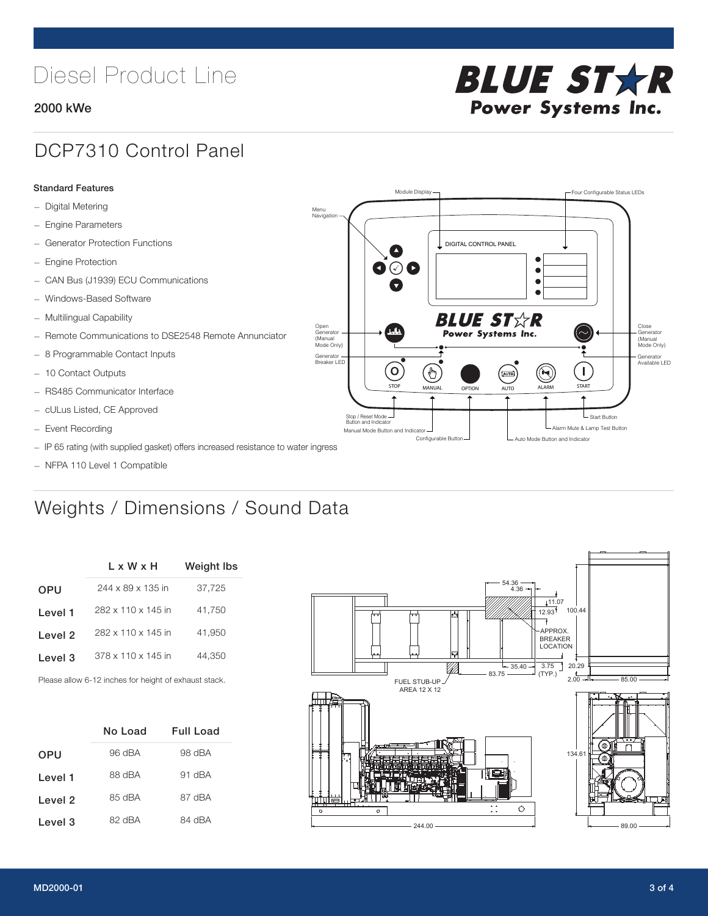# Diesel Product Line

### 2000 kWe



## DCP7310 Control Panel

#### Standard Features

- Digital Metering
- Engine Parameters
- Generator Protection Functions
- Engine Protection
- CAN Bus (J1939) ECU Communications
- Windows-Based Software
- Multilingual Capability
- Remote Communications to DSE2548 Remote Annunciator
- 8 Programmable Contact Inputs
- 10 Contact Outputs
- RS485 Communicator Interface
- cULus Listed, CE Approved
- Event Recording
- IP 65 rating (with supplied gasket) offers increased resistance to water ingress
- NFPA 110 Level 1 Compatible

# Weights / Dimensions / Sound Data

|            | L x W x H          | <b>Weight lbs</b> |
|------------|--------------------|-------------------|
| <b>OPU</b> | 244 x 89 x 135 in  | 37,725            |
| Level 1    | 282 x 110 x 145 in | 41.750            |
| Level 2    | 282 x 110 x 145 in | 41.950            |
| Level 3    | 378 x 110 x 145 in | 44,350            |
|            |                    |                   |

Please allow 6-12 inches for height of exhaust stack.

|            | No Load | Full Load |
|------------|---------|-----------|
| <b>OPU</b> | 96 dBA  | 98 dBA    |
| Level 1    | 88 dBA  | 91 dBA    |
| Level 2    | 85 dBA  | 87 dBA    |
| Level 3    | 82 dBA  | 84 dBA    |



STOP MANUAL OPTION AUTO ALARM START

.<br>[AUTO]

**BLUE STAR** Power Systems Inc.

Manual Mode Button and Indicator Sultane Mute & Lamp Test Button Mute & Lamp Test Button Mute & Lamp Test Button Configurable Button -  $\Box$  Auto Mode Button and Indicator

DIGITAL CONTROL PANEL

Module Display  $\Box$ 

 $\bullet$  $\bullet$  $\bullet$ 

 $\circledcirc$ 

Menu Navigation

Open Generator (Manual Mode Only)

Generator Breaker LED

Stop / Reset Mode Button and Indicator

 $\bullet$  $\bullet$   $\circ$   $\bullet$ 

 $\sigma$ 

՟Պ

Close Generator (Manual Mode Only)

Generator Available LED

- Start Button

 $\blacksquare$